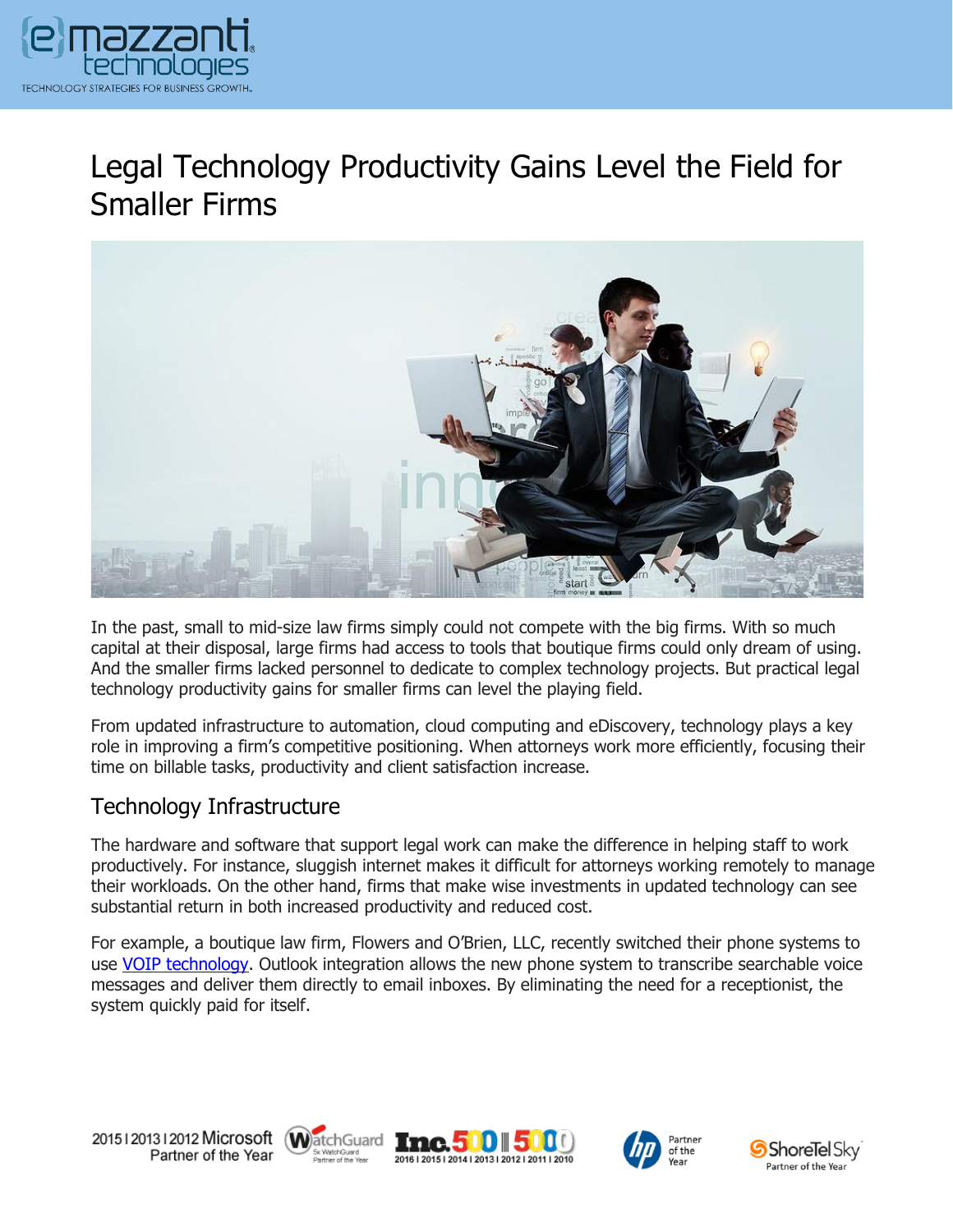

# Legal Technology Productivity Gains Level the Field for Smaller Firms



In the past, small to mid-size law firms simply could not compete with the big firms. With so much capital at their disposal, large firms had access to tools that boutique firms could only dream of using. And the smaller firms lacked personnel to dedicate to complex technology projects. But practical legal technology productivity gains for smaller firms can level the playing field.

From updated infrastructure to automation, cloud computing and eDiscovery, technology plays a key role in improving a firm's competitive positioning. When attorneys work more efficiently, focusing their time on billable tasks, productivity and client satisfaction increase.

#### Technology Infrastructure

The hardware and software that support legal work can make the difference in helping staff to work productively. For instance, sluggish internet makes it difficult for attorneys working remotely to manage their workloads. On the other hand, firms that make wise investments in updated technology can see substantial return in both increased productivity and reduced cost.

For example, a boutique law firm, Flowers and O'Brien, LLC, recently switched their phone systems to use [VOIP technology.](https://www.emazzanti.net/legal-technology-and-strategy/) Outlook integration allows the new phone system to transcribe searchable voice messages and deliver them directly to email inboxes. By eliminating the need for a receptionist, the system quickly paid for itself.









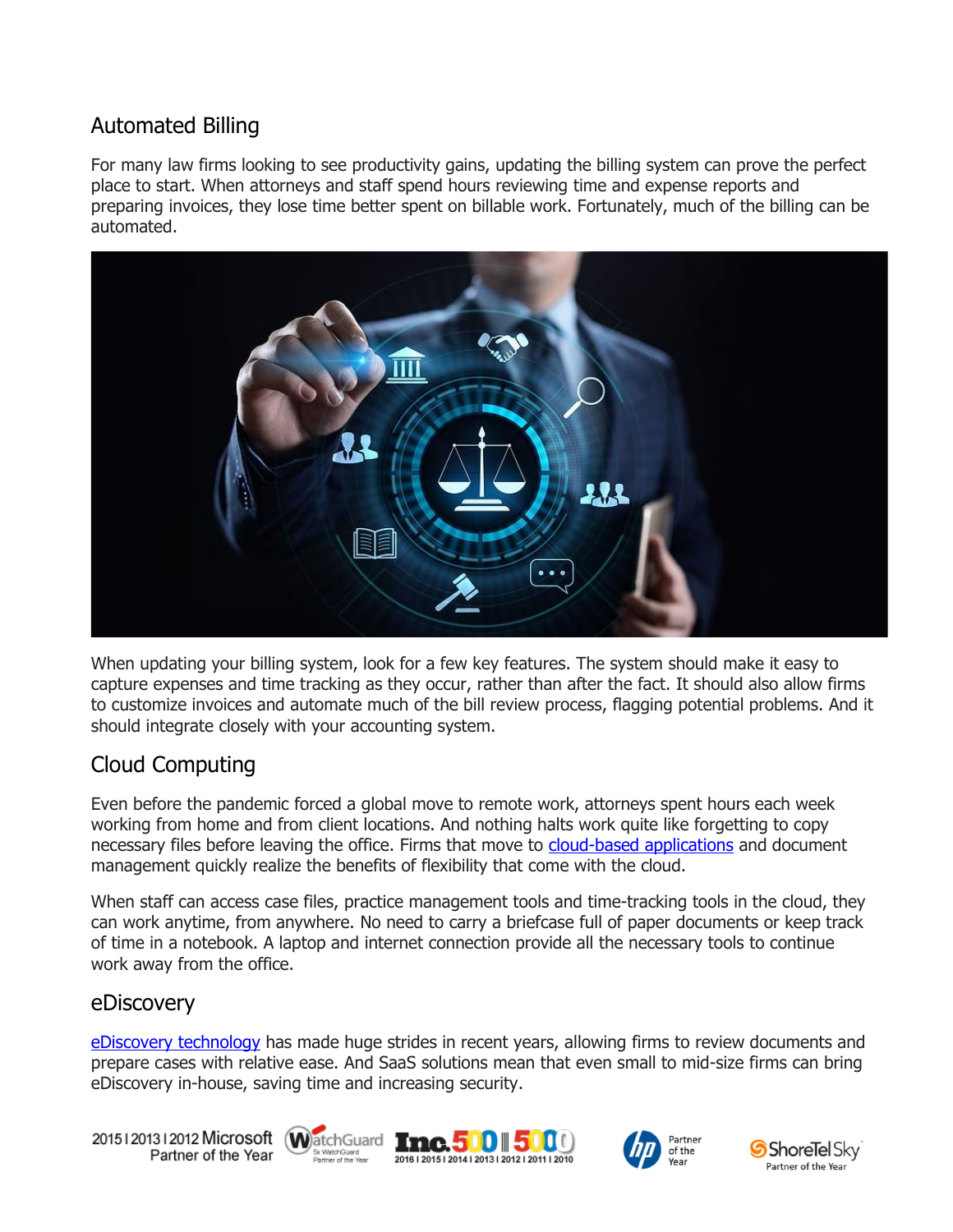### Automated Billing

For many law firms looking to see productivity gains, updating the billing system can prove the perfect place to start. When attorneys and staff spend hours reviewing time and expense reports and preparing invoices, they lose time better spent on billable work. Fortunately, much of the billing can be automated.



When updating your billing system, look for a few key features. The system should make it easy to capture expenses and time tracking as they occur, rather than after the fact. It should also allow firms to customize invoices and automate much of the bill review process, flagging potential problems. And it should integrate closely with your accounting system.

## Cloud Computing

Even before the pandemic forced a global move to remote work, attorneys spent hours each week working from home and from client locations. And nothing halts work quite like forgetting to copy necessary files before leaving the office. Firms that move to [cloud-based applications](https://www.emazzanti.net/services/cloud-services/) and document management quickly realize the benefits of flexibility that come with the cloud.

When staff can access case files, practice management tools and time-tracking tools in the cloud, they can work anytime, from anywhere. No need to carry a briefcase full of paper documents or keep track of time in a notebook. A laptop and internet connection provide all the necessary tools to continue work away from the office.

#### eDiscovery

[eDiscovery technology](https://messagingarchitects.com/ediscovery-technology-law-firms/) has made huge strides in recent years, allowing firms to review documents and prepare cases with relative ease. And SaaS solutions mean that even small to mid-size firms can bring eDiscovery in-house, saving time and increasing security.

20151201312012 Microsoft WatchGuard Tnc. 500 500 Partner of the Year